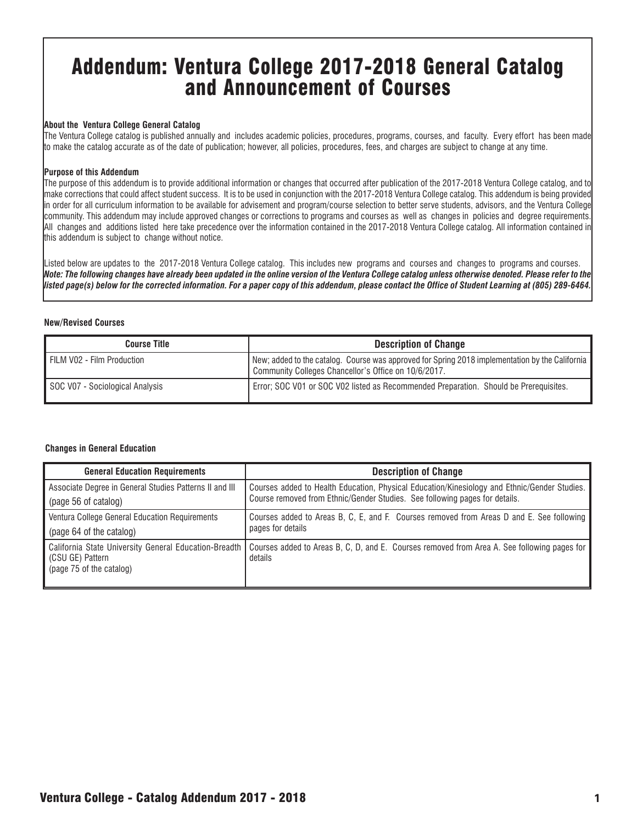# Addendum: Ventura College 2017-2018 General Catalog and Announcement of Courses

#### **About the Ventura College General Catalog**

The Ventura College catalog is published annually and includes academic policies, procedures, programs, courses, and faculty. Every effort has been made to make the catalog accurate as of the date of publication; however, all policies, procedures, fees, and charges are subject to change at any time.

#### **Purpose of this Addendum**

The purpose of this addendum is to provide additional information or changes that occurred after publication of the 2017-2018 Ventura College catalog, and to make corrections that could affect student success. It is to be used in conjunction with the 2017-2018 Ventura College catalog. This addendum is being provided in order for all curriculum information to be available for advisement and program/course selection to better serve students, advisors, and the Ventura College community. This addendum may include approved changes or corrections to programs and courses as well as changes in policies and degree requirements. All changes and additions listed here take precedence over the information contained in the 2017-2018 Ventura College catalog. All information contained in this addendum is subject to change without notice.

Listed below are updates to the 2017-2018 Ventura College catalog. This includes new programs and courses and changes to programs and courses. *Note: The following changes have already been updated in the online version of the Ventura College catalog unless otherwise denoted. Please refer to the listed page(s) below for the corrected information. For a paper copy of this addendum, please contact the Office of Student Learning at (805) 289-6464.*

#### **New/Revised Courses**

| <b>Course Title</b>             | <b>Description of Change</b>                                                                                                                            |
|---------------------------------|---------------------------------------------------------------------------------------------------------------------------------------------------------|
| FILM V02 - Film Production      | New; added to the catalog. Course was approved for Spring 2018 implementation by the California<br>Community Colleges Chancellor's Office on 10/6/2017. |
| SOC V07 - Sociological Analysis | Error; SOC V01 or SOC V02 listed as Recommended Preparation. Should be Prerequisites.                                                                   |

#### **Changes in General Education**

| <b>General Education Requirements</b>                                                                 | <b>Description of Change</b>                                                                                                                                                |
|-------------------------------------------------------------------------------------------------------|-----------------------------------------------------------------------------------------------------------------------------------------------------------------------------|
| Associate Degree in General Studies Patterns II and III                                               | Courses added to Health Education, Physical Education/Kinesiology and Ethnic/Gender Studies.<br>Course removed from Ethnic/Gender Studies. See following pages for details. |
| (page 56 of catalog)                                                                                  |                                                                                                                                                                             |
| Ventura College General Education Requirements                                                        | Courses added to Areas B, C, E, and F. Courses removed from Areas D and E. See following<br>pages for details                                                               |
| (page 64 of the catalog)                                                                              |                                                                                                                                                                             |
| California State University General Education-Breadth<br>(CSU GE) Pattern<br>(page 75 of the catalog) | Courses added to Areas B, C, D, and E. Courses removed from Area A. See following pages for<br>details                                                                      |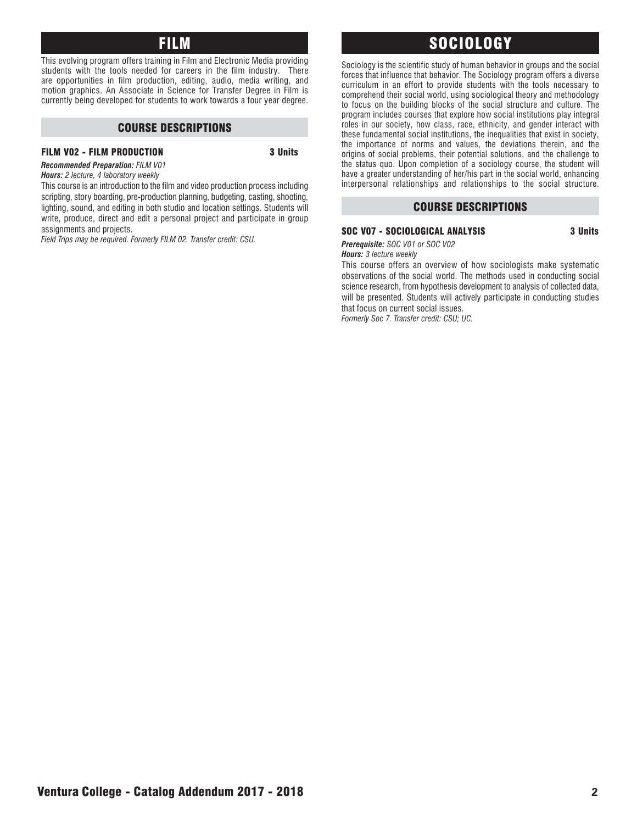### FILM

This evolving program offers training in Film and Electronic Media providing students with the tools needed for careers in the film industry. There are opportunities in film production, editing, audio, media writing, and motion graphics. An Associate in Science for Transfer Degree in Film is currently being developed for students to work towards a four year degree.

#### COURSE DESCRIPTIONS

#### FILM V02 - FILM PRODUCTION 3 Units

*Recommended Preparation: FILM V01 Hours: 2 lecture, 4 laboratory weekly*

This course is an introduction to the film and video production process including scripting, story boarding, pre-production planning, budgeting, casting, shooting, lighting, sound, and editing in both studio and location settings. Students will write, produce, direct and edit a personal project and participate in group assignments and projects.

*Field Trips may be required. Formerly FILM 02. Transfer credit: CSU.*

### SOCIOLOGY

Sociology is the scientific study of human behavior in groups and the social forces that influence that behavior. The Sociology program offers a diverse curriculum in an effort to provide students with the tools necessary to comprehend their social world, using sociological theory and methodology to focus on the building blocks of the social structure and culture. The program includes courses that explore how social institutions play integral roles in our society, how class, race, ethnicity, and gender interact with these fundamental social institutions, the inequalities that exist in society, the importance of norms and values, the deviations therein, and the origins of social problems, their potential solutions, and the challenge to the status quo. Upon completion of a sociology course, the student will have a greater understanding of her/his part in the social world, enhancing interpersonal relationships and relationships to the social structure.

#### COURSE DESCRIPTIONS

#### SOC V07 - SOCIOLOGICAL ANALYSIS **3** Units

*Prerequisite: SOC V01 or SOC V02*

*Hours: 3 lecture weekly* This course offers an overview of how sociologists make systematic observations of the social world. The methods used in conducting social science research, from hypothesis development to analysis of collected data, will be presented. Students will actively participate in conducting studies

that focus on current social issues. *Formerly Soc 7. Transfer credit: CSU; UC.*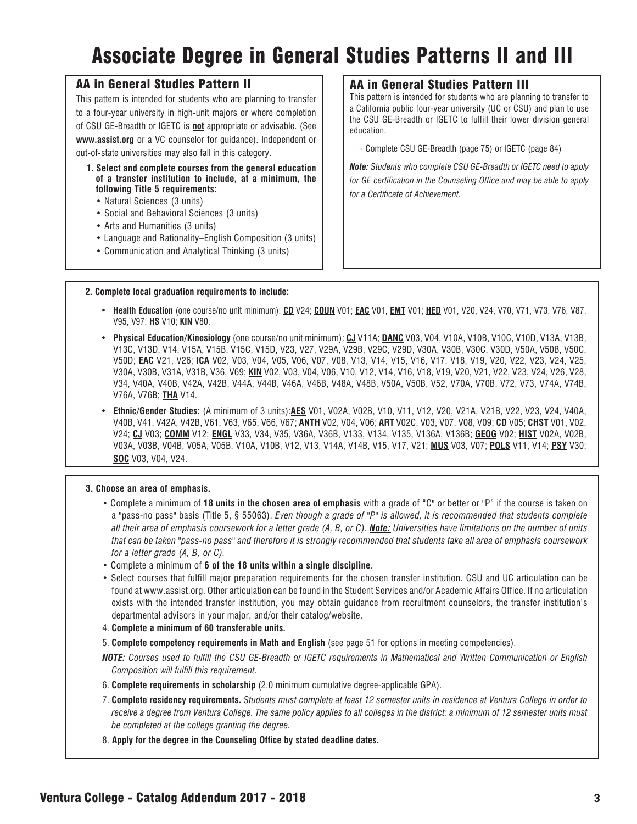# Associate Degree in General Studies Patterns II and III

#### AA in General Studies Pattern II

This pattern is intended for students who are planning to transfer to a four-year university in high-unit majors or where completion of CSU GE-Breadth or IGETC is **not** appropriate or advisable. (See **www.assist.org** or a VC counselor for guidance). Independent or out-of-state universities may also fall in this category.

- **1. Select and complete courses from the general education of a transfer institution to include, at a minimum, the following Title 5 requirements:**
	- Natural Sciences (3 units)
	- Social and Behavioral Sciences (3 units)
	- Arts and Humanities (3 units)
	- Language and Rationality–English Composition (3 units)
	- Communication and Analytical Thinking (3 units)

#### AA in General Studies Pattern III

This pattern is intended for students who are planning to transfer to a California public four-year university (UC or CSU) and plan to use the CSU GE-Breadth or IGETC to fulfill their lower division general education.

- Complete CSU GE-Breadth (page 75) or IGETC (page 84)

*Note: Students who complete CSU GE-Breadth or IGETC need to apply for GE certification in the Counseling Office and may be able to apply for a Certificate of Achievement.* 

#### **2. Complete local graduation requirements to include:**

- **Health Education** (one course/no unit minimum): **CD** V24; **COUN** V01; **EAC** V01, **EMT** V01; **HED** V01, V20, V24, V70, V71, V73, V76, V87, V95, V97; **HS** V10; **KIN** V80.
- **Physical Education/Kinesiology** (one course/no unit minimum): **CJ** V11A; **DANC** V03, V04, V10A, V10B, V10C, V10D, V13A, V13B, V13C, V13D, V14, V15A, V15B, V15C, V15D, V23, V27, V29A, V29B, V29C, V29D, V30A, V30B, V30C, V30D, V50A, V50B, V50C, V50D; **EAC** V21, V26; **ICA** V02, V03, V04, V05, V06, V07, V08, V13, V14, V15, V16, V17, V18, V19, V20, V22, V23, V24, V25, V30A, V30B, V31A, V31B, V36, V69; **KIN** V02, V03, V04, V06, V10, V12, V14, V16, V18, V19, V20, V21, V22, V23, V24, V26, V28, V34, V40A, V40B, V42A, V42B, V44A, V44B, V46A, V46B, V48A, V48B, V50A, V50B, V52, V70A, V70B, V72, V73, V74A, V74B, V76A, V76B; **THA** V14.
- **Ethnic/Gender Studies:** (A minimum of 3 units):**AES** V01, V02A, V02B, V10, V11, V12, V20, V21A, V21B, V22, V23, V24, V40A, V40B, V41, V42A, V42B, V61, V63, V65, V66, V67; **ANTH** V02, V04, V06; **ART** V02C, V03, V07, V08, V09; **CD** V05; **CHST** V01, V02, V24; **CJ** V03; **COMM** V12; **ENGL** V33, V34, V35, V36A, V36B, V133, V134, V135, V136A, V136B; **GEOG** V02; **HIST** V02A, V02B, V03A, V03B, V04B, V05A, V05B, V10A, V10B, V12, V13, V14A, V14B, V15, V17, V21; **MUS** V03, V07; **POLS** V11, V14; **PSY** V30; **SOC** V03, V04, V24.

#### **3. Choose an area of emphasis.**

- Complete a minimum of **18 units in the chosen area of emphasis** with a grade of "C" or better or "P" if the course is taken on a "pass-no pass" basis (Title 5, § 55063). *Even though a grade of "P" is allowed, it is recommended that students complete all their area of emphasis coursework for a letter grade (A, B, or C). Note: Universities have limitations on the number of units that can be taken "pass-no pass" and therefore it is strongly recommended that students take all area of emphasis coursework for a letter grade (A, B, or C).*
- Complete a minimum of **6 of the 18 units within a single discipline**.
- Select courses that fulfill major preparation requirements for the chosen transfer institution. CSU and UC articulation can be found at www.assist.org. Other articulation can be found in the Student Services and/or Academic Affairs Office. If no articulation exists with the intended transfer institution, you may obtain guidance from recruitment counselors, the transfer institution's departmental advisors in your major, and/or their catalog/website.
- 4. **Complete a minimum of 60 transferable units.**
- 5. **Complete competency requirements in Math and English** (see page 51 for options in meeting competencies).

*NOTE: Courses used to fulfill the CSU GE-Breadth or IGETC requirements in Mathematical and Written Communication or English Composition will fulfill this requirement.*

- 6. **Complete requirements in scholarship** (2.0 minimum cumulative degree-applicable GPA).
- 7. **Complete residency requirements.** *Students must complete at least 12 semester units in residence at Ventura College in order to receive a degree from Ventura College. The same policy applies to all colleges in the district: a minimum of 12 semester units must be completed at the college granting the degree.*
- 8. **Apply for the degree in the Counseling Office by stated deadline dates.**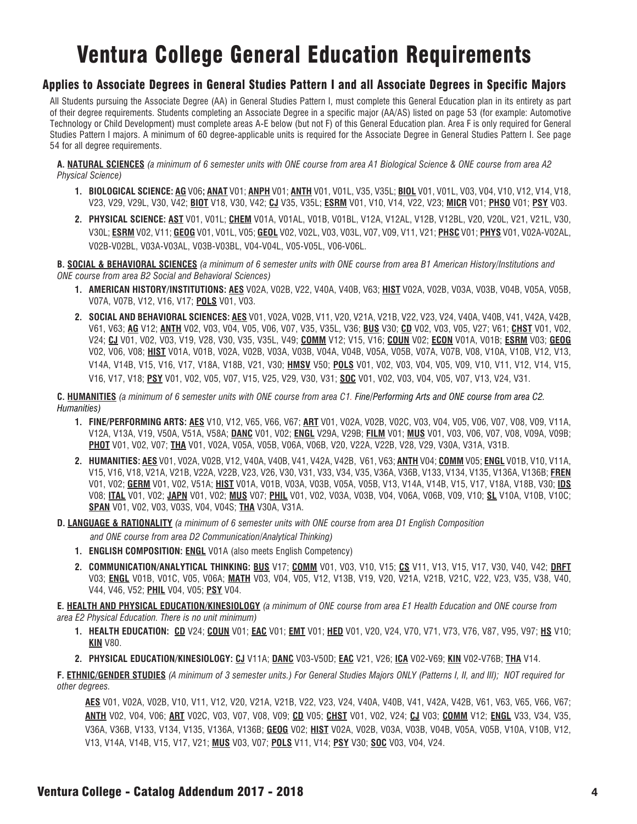# Ventura College General Education Requirements

### Applies to Associate Degrees in General Studies Pattern I and all Associate Degrees in Specific Majors

All Students pursuing the Associate Degree (AA) in General Studies Pattern I, must complete this General Education plan in its entirety as part of their degree requirements. Students completing an Associate Degree in a specific major (AA/AS) listed on page 53 (for example: Automotive Technology or Child Development) must complete areas A-E below (but not F) of this General Education plan. Area F is only required for General Studies Pattern I majors. A minimum of 60 degree-applicable units is required for the Associate Degree in General Studies Pattern I. See page 54 for all degree requirements.

**A. NATURAL SCIENCES** *(a minimum of 6 semester units with ONE course from area A1 Biological Science & ONE course from area A2 Physical Science)*

- **1. BIOLOGICAL SCIENCE: AG** V06**; ANAT** V01; **ANPH** V01; **ANTH** V01, V01L, V35, V35L; **BIOL** V01, V01L, V03, V04, V10, V12, V14, V18, V23, V29, V29L, V30, V42; **BIOT** V18, V30, V42; **CJ** V35, V35L; **ESRM** V01, V10, V14, V22, V23; **MICR** V01; **PHSO** V01; **PSY** V03.
- **2. PHYSICAL SCIENCE: AST** V01, V01L; **CHEM** V01A, V01AL, V01B, V01BL, V12A, V12AL, V12B, V12BL, V20, V20L, V21, V21L, V30, V30L; **ESRM** V02, V11; **GEOG** V01, V01L, V05; **GEOL** V02, V02L, V03, V03L, V07, V09, V11, V21; **PHSC** V01; **PHYS** V01, V02A-V02AL, V02B-V02BL, V03A-V03AL, V03B-V03BL, V04-V04L, V05-V05L, V06-V06L.

**B. SOCIAL & BEHAVIORAL SCIENCES** *(a minimum of 6 semester units with ONE course from area B1 American History/Institutions and ONE course from area B2 Social and Behavioral Sciences)*

- **1. AMERICAN HISTORY/INSTITUTIONS: AES** V02A, V02B, V22, V40A, V40B, V63; **HIST** V02A, V02B, V03A, V03B, V04B, V05A, V05B, V07A, V07B, V12, V16, V17; **POLS** V01, V03.
- **2. SOCIAL AND BEHAVIORAL SCIENCES: AES** V01, V02A, V02B, V11, V20, V21A, V21B, V22, V23, V24, V40A, V40B, V41, V42A, V42B, V61, V63; **AG** V12; **ANTH** V02, V03, V04, V05, V06, V07, V35, V35L, V36; **BUS** V30; **CD** V02, V03, V05, V27; V61; **CHST** V01, V02, V24; **CJ** V01, V02, V03, V19, V28, V30, V35, V35L, V49; **COMM** V12; V15, V16; **COUN** V02; **ECON** V01A, V01B; **ESRM** V03; **GEOG** V02, V06, V08; **HIST** V01A, V01B, V02A, V02B, V03A, V03B, V04A, V04B, V05A, V05B, V07A, V07B, V08, V10A, V10B, V12, V13, V14A, V14B, V15, V16, V17, V18A, V18B, V21, V30; **HMSV** V50; **POLS** V01, V02, V03, V04, V05, V09, V10, V11, V12, V14, V15, V16, V17, V18; **PSY** V01, V02, V05, V07, V15, V25, V29, V30, V31; **SOC** V01, V02, V03, V04, V05, V07, V13, V24, V31.

#### **C. HUMANITIES** *(a minimum of 6 semester units with ONE course from area C1. Fine/Performing Arts and ONE course from area C2. Humanities)*

- **1. FINE/PERFORMING ARTS: AES** V10, V12, V65, V66, V67; **ART** V01, V02A, V02B, V02C, V03, V04, V05, V06, V07, V08, V09, V11A, V12A, V13A, V19, V50A, V51A, V58A; **DANC** V01, V02; **ENGL** V29A, V29B; **FILM** V01; **MUS** V01, V03, V06, V07, V08, V09A, V09B; **PHOT** V01, V02, V07; **THA** V01, V02A, V05A, V05B, V06A, V06B, V20, V22A, V22B, V28, V29, V30A, V31A, V31B.
- **2. HUMANITIES: AES** V01, V02A, V02B, V12, V40A, V40B, V41, V42A, V42B, V61, V63; **ANTH** V04; **COMM** V05; **ENGL** V01B, V10, V11A, V15, V16, V18, V21A, V21B, V22A, V22B, V23, V26, V30, V31, V33, V34, V35, V36A, V36B, V133, V134, V135, V136A, V136B; **FREN** V01, V02; **GERM** V01, V02, V51A; **HIST** V01A, V01B, V03A, V03B, V05A, V05B, V13, V14A, V14B, V15, V17, V18A, V18B, V30; **IDS** V08; **ITAL** V01, V02; **JAPN** V01, V02; **MUS** V07; **PHIL** V01, V02, V03A, V03B, V04, V06A, V06B, V09, V10; **SL** V10A, V10B, V10C; **SPAN** V01, V02, V03, V03S, V04, V04S; **THA** V30A, V31A.
- **D. LANGUAGE & RATIONALITY** *(a minimum of 6 semester units with ONE course from area D1 English Composition and ONE course from area D2 Communication/Analytical Thinking)*
	- **1. ENGLISH COMPOSITION: ENGL** V01A (also meets English Competency)
	- **2. COMMUNICATION/ANALYTICAL THINKING: BUS** V17; **COMM** V01, V03, V10, V15; **CS** V11, V13, V15, V17, V30, V40, V42; **DRFT** V03; **ENGL** V01B, V01C, V05, V06A; **MATH** V03, V04, V05, V12, V13B, V19, V20, V21A, V21B, V21C, V22, V23, V35, V38, V40, V44, V46, V52; **PHIL** V04, V05; **PSY** V04.

**E. HEALTH AND PHYSICAL EDUCATION/KINESIOLOGY** *(a minimum of ONE course from area E1 Health Education and ONE course from area E2 Physical Education. There is no unit minimum)*

- **1. HEALTH EDUCATION: CD** V24; **COUN** V01; **EAC** V01; **EMT** V01; **HED** V01, V20, V24, V70, V71, V73, V76, V87, V95, V97; **HS** V10; **KIN** V80.
- **2. PHYSICAL EDUCATION/KINESIOLOGY: CJ** V11A; **DANC** V03-V50D; **EAC** V21, V26; **ICA** V02-V69; **KIN** V02-V76B; **THA** V14.

**F. ETHNIC/GENDER STUDIES** *(A minimum of 3 semester units.) For General Studies Majors ONLY (Patterns I, II, and III); NOT required for other degrees.*

**AES** V01, V02A, V02B, V10, V11, V12, V20, V21A, V21B, V22, V23, V24, V40A, V40B, V41, V42A, V42B, V61, V63, V65, V66, V67; **ANTH** V02, V04, V06; **ART** V02C, V03, V07, V08, V09; **CD** V05; **CHST** V01, V02, V24; **CJ** V03; **COMM** V12; **ENGL** V33, V34, V35, V36A, V36B, V133, V134, V135, V136A, V136B; **GEOG** V02; **HIST** V02A, V02B, V03A, V03B, V04B, V05A, V05B, V10A, V10B, V12, V13, V14A, V14B, V15, V17, V21; **MUS** V03, V07; **POLS** V11, V14; **PSY** V30; **SOC** V03, V04, V24.